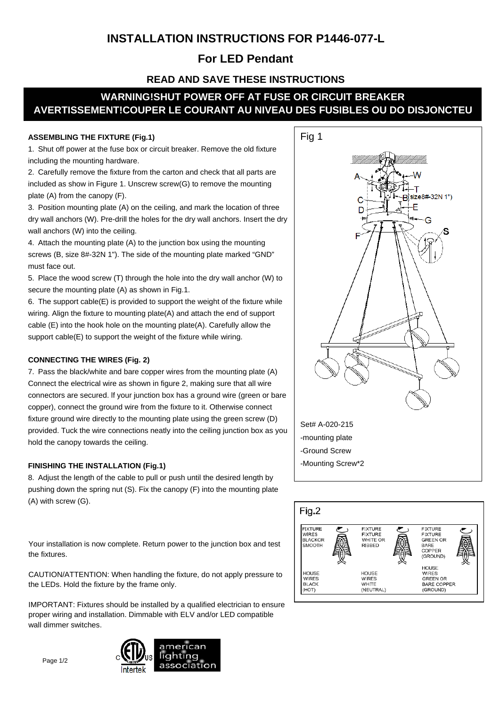## **INSTALLATION INSTRUCTIONS FOR P1446-077-L**

### **For LED Pendant**

### **READ AND SAVE THESE INSTRUCTIONS**

# **WARNING!SHUT POWER OFF AT FUSE OR CIRCUIT BREAKER AVERTISSEMENT!COUPER LE COURANT AU NIVEAU DES FUSIBLES OU DO DISJONCTEU**

#### **ASSEMBLING THE FIXTURE (Fig.1)**

1. Shut off power at the fuse box or circuit breaker. Remove the old fixture including the mounting hardware.

2. Carefully remove the fixture from the carton and check that all parts are included as show in Figure 1. Unscrew screw(G) to remove the mounting plate (A) from the canopy (F).

3. Position mounting plate (A) on the ceiling, and mark the location of three dry wall anchors (W). Pre-drill the holes for the dry wall anchors. Insert the dry wall anchors (W) into the ceiling.

4. Attach the mounting plate (A) to the junction box using the mounting screws (B, size 8#-32N 1"). The side of the mounting plate marked "GND" must face out.

5. Place the wood screw (T) through the hole into the dry wall anchor (W) to secure the mounting plate (A) as shown in Fig.1.

6. The support cable(E) is provided to support the weight of the fixture while wiring. Align the fixture to mounting plate(A) and attach the end of support cable (E) into the hook hole on the mounting plate(A). Carefully allow the support cable(E) to support the weight of the fixture while wiring.

### **CONNECTING THE WIRES (Fig. 2)**

7. Pass the black/white and bare copper wires from the mounting plate (A) Connect the electrical wire as shown in figure 2, making sure that all wire connectors are secured. lf your junction box has a ground wire (green or bare copper), connect the ground wire from the fixture to it. Otherwise connect fixture ground wire directly to the mounting plate using the green screw (D) provided. Tuck the wire connections neatly into the ceiling junction box as you hold the canopy towards the ceiling.

#### **FINISHING THE INSTALLATION (Fig.1)**

8. Adjust the length of the cable to pull or push until the desired length by pushing down the spring nut (S). Fix the canopy (F) into the mounting plate (A) with screw (G).

Your installation is now complete. Return power to the junction box and test the fixtures.

CAUTION/ATTENTION: When handling the fixture, do not apply pressure to the LEDs. Hold the fixture by the frame only.

IMPORTANT: Fixtures should be installed by a qualified electrician to ensure proper wiring and installation. Dimmable with ELV and/or LED compatible wall dimmer switches.